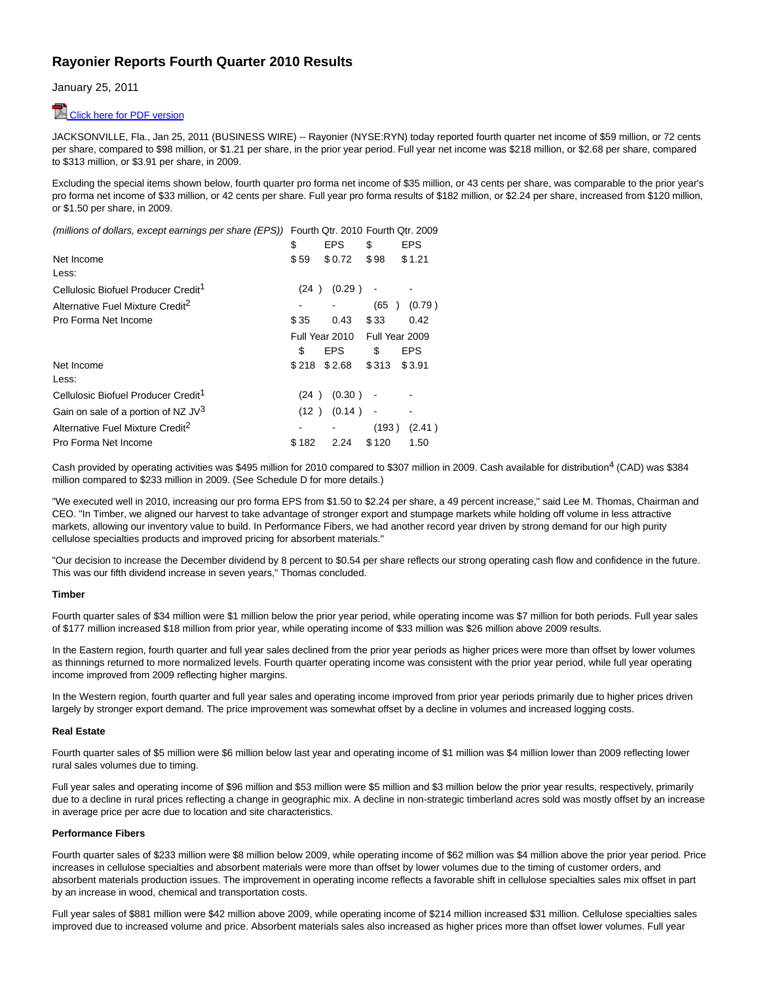# **Rayonier Reports Fourth Quarter 2010 Results**

January 25, 2011

# [Click here for PDF version](http://phx.corporate-ir.net/External.File?item=UGFyZW50SUQ9Nzg1NDJ8Q2hpbGRJRD0tMXxUeXBlPTM=&t=1)

JACKSONVILLE, Fla., Jan 25, 2011 (BUSINESS WIRE) -- Rayonier (NYSE:RYN) today reported fourth quarter net income of \$59 million, or 72 cents per share, compared to \$98 million, or \$1.21 per share, in the prior year period. Full year net income was \$218 million, or \$2.68 per share, compared to \$313 million, or \$3.91 per share, in 2009.

Excluding the special items shown below, fourth quarter pro forma net income of \$35 million, or 43 cents per share, was comparable to the prior year's pro forma net income of \$33 million, or 42 cents per share. Full year pro forma results of \$182 million, or \$2.24 per share, increased from \$120 million, or \$1.50 per share, in 2009.

(millions of dollars, except earnings per share (EPS)) Fourth Qtr. 2010 Fourth Qtr. 2009

|                                                 | <b>EPS</b><br>\$<br>\$<br><b>EPS</b> |  |
|-------------------------------------------------|--------------------------------------|--|
| Net Income                                      | \$0.72<br>\$98<br>\$1.21<br>\$59     |  |
| Less:                                           |                                      |  |
| Cellulosic Biofuel Producer Credit <sup>1</sup> | (24)<br>(0.29)                       |  |
| Alternative Fuel Mixture Credit <sup>2</sup>    | (65)<br>(0.79)                       |  |
| Pro Forma Net Income                            | \$35<br>\$33<br>0.43<br>0.42         |  |
|                                                 | Full Year 2009<br>Full Year 2010     |  |
|                                                 | \$<br>EPS.<br><b>EPS</b><br>\$       |  |
| Net Income                                      | \$313<br>\$218<br>\$2.68<br>\$3.91   |  |
| Less:                                           |                                      |  |
| Cellulosic Biofuel Producer Credit <sup>1</sup> | (0.30)<br>(24)                       |  |
| Gain on sale of a portion of NZ $JV3$           | (12)<br>(0.14)                       |  |
| Alternative Fuel Mixture Credit <sup>2</sup>    | (193)<br>(2.41)                      |  |
| Pro Forma Net Income                            | \$182<br>\$120<br>2.24<br>1.50       |  |

Cash provided by operating activities was \$495 million for 2010 compared to \$307 million in 2009. Cash available for distribution4 (CAD) was \$384 million compared to \$233 million in 2009. (See Schedule D for more details.)

"We executed well in 2010, increasing our pro forma EPS from \$1.50 to \$2.24 per share, a 49 percent increase," said Lee M. Thomas, Chairman and CEO. "In Timber, we aligned our harvest to take advantage of stronger export and stumpage markets while holding off volume in less attractive markets, allowing our inventory value to build. In Performance Fibers, we had another record year driven by strong demand for our high purity cellulose specialties products and improved pricing for absorbent materials."

"Our decision to increase the December dividend by 8 percent to \$0.54 per share reflects our strong operating cash flow and confidence in the future. This was our fifth dividend increase in seven years," Thomas concluded.

## **Timber**

Fourth quarter sales of \$34 million were \$1 million below the prior year period, while operating income was \$7 million for both periods. Full year sales of \$177 million increased \$18 million from prior year, while operating income of \$33 million was \$26 million above 2009 results.

In the Eastern region, fourth quarter and full year sales declined from the prior year periods as higher prices were more than offset by lower volumes as thinnings returned to more normalized levels. Fourth quarter operating income was consistent with the prior year period, while full year operating income improved from 2009 reflecting higher margins.

In the Western region, fourth quarter and full year sales and operating income improved from prior year periods primarily due to higher prices driven largely by stronger export demand. The price improvement was somewhat offset by a decline in volumes and increased logging costs.

## **Real Estate**

Fourth quarter sales of \$5 million were \$6 million below last year and operating income of \$1 million was \$4 million lower than 2009 reflecting lower rural sales volumes due to timing.

Full year sales and operating income of \$96 million and \$53 million were \$5 million and \$3 million below the prior year results, respectively, primarily due to a decline in rural prices reflecting a change in geographic mix. A decline in non-strategic timberland acres sold was mostly offset by an increase in average price per acre due to location and site characteristics.

## **Performance Fibers**

Fourth quarter sales of \$233 million were \$8 million below 2009, while operating income of \$62 million was \$4 million above the prior year period. Price increases in cellulose specialties and absorbent materials were more than offset by lower volumes due to the timing of customer orders, and absorbent materials production issues. The improvement in operating income reflects a favorable shift in cellulose specialties sales mix offset in part by an increase in wood, chemical and transportation costs.

Full year sales of \$881 million were \$42 million above 2009, while operating income of \$214 million increased \$31 million. Cellulose specialties sales improved due to increased volume and price. Absorbent materials sales also increased as higher prices more than offset lower volumes. Full year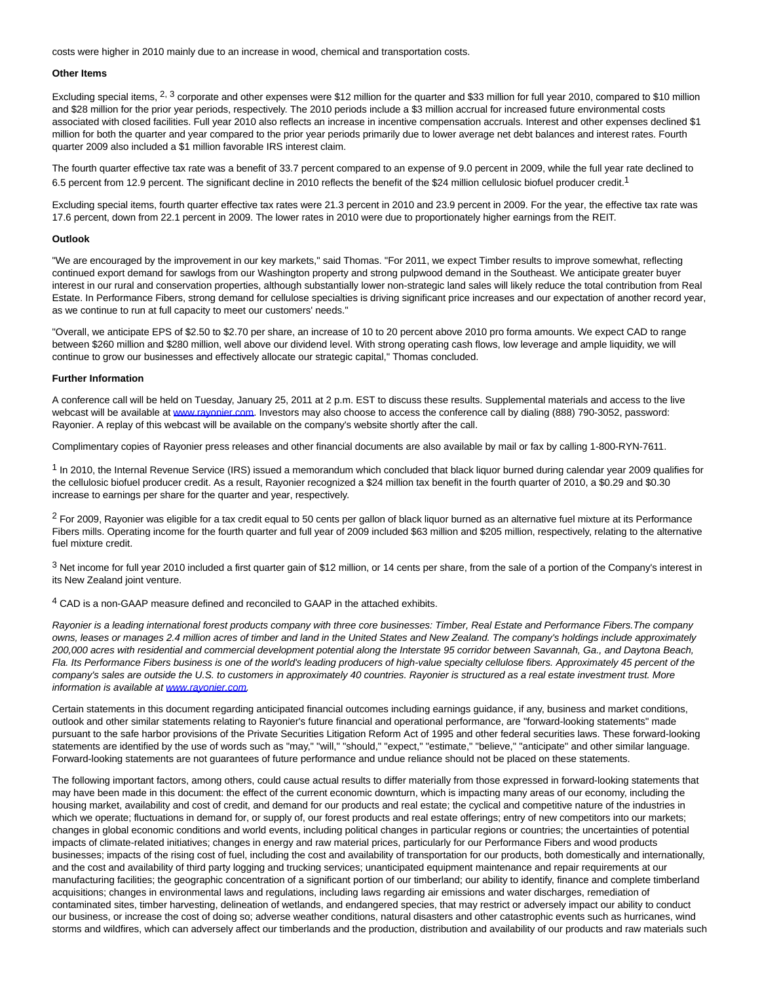costs were higher in 2010 mainly due to an increase in wood, chemical and transportation costs.

#### **Other Items**

Excluding special items, <sup>2, 3</sup> corporate and other expenses were \$12 million for the quarter and \$33 million for full year 2010, compared to \$10 million and \$28 million for the prior year periods, respectively. The 2010 periods include a \$3 million accrual for increased future environmental costs associated with closed facilities. Full year 2010 also reflects an increase in incentive compensation accruals. Interest and other expenses declined \$1 million for both the quarter and year compared to the prior year periods primarily due to lower average net debt balances and interest rates. Fourth quarter 2009 also included a \$1 million favorable IRS interest claim.

The fourth quarter effective tax rate was a benefit of 33.7 percent compared to an expense of 9.0 percent in 2009, while the full year rate declined to 6.5 percent from 12.9 percent. The significant decline in 2010 reflects the benefit of the \$24 million cellulosic biofuel producer credit.<sup>1</sup>

Excluding special items, fourth quarter effective tax rates were 21.3 percent in 2010 and 23.9 percent in 2009. For the year, the effective tax rate was 17.6 percent, down from 22.1 percent in 2009. The lower rates in 2010 were due to proportionately higher earnings from the REIT.

#### **Outlook**

"We are encouraged by the improvement in our key markets," said Thomas. "For 2011, we expect Timber results to improve somewhat, reflecting continued export demand for sawlogs from our Washington property and strong pulpwood demand in the Southeast. We anticipate greater buyer interest in our rural and conservation properties, although substantially lower non-strategic land sales will likely reduce the total contribution from Real Estate. In Performance Fibers, strong demand for cellulose specialties is driving significant price increases and our expectation of another record year, as we continue to run at full capacity to meet our customers' needs."

"Overall, we anticipate EPS of \$2.50 to \$2.70 per share, an increase of 10 to 20 percent above 2010 pro forma amounts. We expect CAD to range between \$260 million and \$280 million, well above our dividend level. With strong operating cash flows, low leverage and ample liquidity, we will continue to grow our businesses and effectively allocate our strategic capital," Thomas concluded.

#### **Further Information**

A conference call will be held on Tuesday, January 25, 2011 at 2 p.m. EST to discuss these results. Supplemental materials and access to the live webcast will be available at [www.rayonier.com.](http://cts.businesswire.com/ct/CT?id=smartlink&url=http%3A%2F%2Fwww.rayonier.com&esheet=6583364&lan=en-US&anchor=www.rayonier.com&index=1&md5=08e59693c3564654e8b50dcf3fba1874) Investors may also choose to access the conference call by dialing (888) 790-3052, password: Rayonier. A replay of this webcast will be available on the company's website shortly after the call.

Complimentary copies of Rayonier press releases and other financial documents are also available by mail or fax by calling 1-800-RYN-7611.

<sup>1</sup> In 2010, the Internal Revenue Service (IRS) issued a memorandum which concluded that black liquor burned during calendar year 2009 qualifies for the cellulosic biofuel producer credit. As a result, Rayonier recognized a \$24 million tax benefit in the fourth quarter of 2010, a \$0.29 and \$0.30 increase to earnings per share for the quarter and year, respectively.

<sup>2</sup> For 2009, Rayonier was eligible for a tax credit equal to 50 cents per gallon of black liquor burned as an alternative fuel mixture at its Performance Fibers mills. Operating income for the fourth quarter and full year of 2009 included \$63 million and \$205 million, respectively, relating to the alternative fuel mixture credit.

 $3$  Net income for full year 2010 included a first quarter gain of \$12 million, or 14 cents per share, from the sale of a portion of the Company's interest in its New Zealand joint venture.

4 CAD is a non-GAAP measure defined and reconciled to GAAP in the attached exhibits.

Rayonier is a leading international forest products company with three core businesses: Timber, Real Estate and Performance Fibers.The company owns, leases or manages 2.4 million acres of timber and land in the United States and New Zealand. The company's holdings include approximately 200,000 acres with residential and commercial development potential along the Interstate 95 corridor between Savannah, Ga., and Daytona Beach, Fla. Its Performance Fibers business is one of the world's leading producers of high-value specialty cellulose fibers. Approximately 45 percent of the company's sales are outside the U.S. to customers in approximately 40 countries. Rayonier is structured as a real estate investment trust. More information is available at [www.rayonier.com.](http://cts.businesswire.com/ct/CT?id=smartlink&url=http%3A%2F%2Fwww.rayonier.com&esheet=6583364&lan=en-US&anchor=www.rayonier.com&index=2&md5=0d787d0f520df200d5c6e75f7f44f2c8)

Certain statements in this document regarding anticipated financial outcomes including earnings guidance, if any, business and market conditions, outlook and other similar statements relating to Rayonier's future financial and operational performance, are "forward-looking statements" made pursuant to the safe harbor provisions of the Private Securities Litigation Reform Act of 1995 and other federal securities laws. These forward-looking statements are identified by the use of words such as "may," "will," "should," "expect," "estimate," "believe," "anticipate" and other similar language. Forward-looking statements are not guarantees of future performance and undue reliance should not be placed on these statements.

The following important factors, among others, could cause actual results to differ materially from those expressed in forward-looking statements that may have been made in this document: the effect of the current economic downturn, which is impacting many areas of our economy, including the housing market, availability and cost of credit, and demand for our products and real estate; the cyclical and competitive nature of the industries in which we operate; fluctuations in demand for, or supply of, our forest products and real estate offerings; entry of new competitors into our markets; changes in global economic conditions and world events, including political changes in particular regions or countries; the uncertainties of potential impacts of climate-related initiatives; changes in energy and raw material prices, particularly for our Performance Fibers and wood products businesses; impacts of the rising cost of fuel, including the cost and availability of transportation for our products, both domestically and internationally, and the cost and availability of third party logging and trucking services; unanticipated equipment maintenance and repair requirements at our manufacturing facilities; the geographic concentration of a significant portion of our timberland; our ability to identify, finance and complete timberland acquisitions; changes in environmental laws and regulations, including laws regarding air emissions and water discharges, remediation of contaminated sites, timber harvesting, delineation of wetlands, and endangered species, that may restrict or adversely impact our ability to conduct our business, or increase the cost of doing so; adverse weather conditions, natural disasters and other catastrophic events such as hurricanes, wind storms and wildfires, which can adversely affect our timberlands and the production, distribution and availability of our products and raw materials such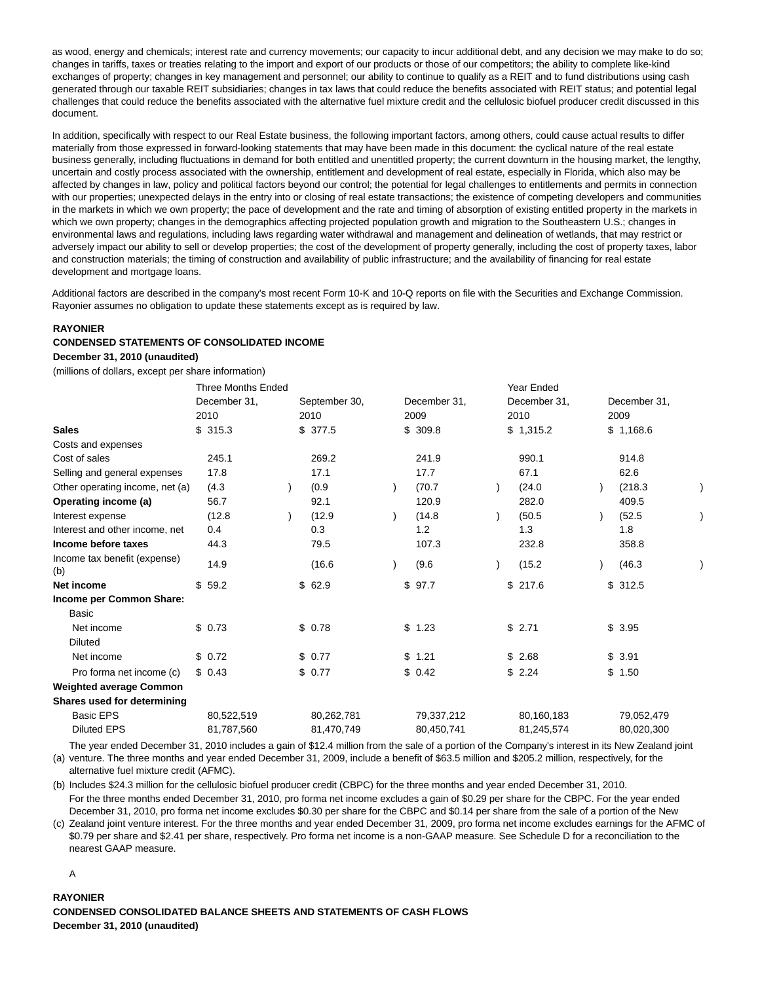as wood, energy and chemicals; interest rate and currency movements; our capacity to incur additional debt, and any decision we may make to do so; changes in tariffs, taxes or treaties relating to the import and export of our products or those of our competitors; the ability to complete like-kind exchanges of property; changes in key management and personnel; our ability to continue to qualify as a REIT and to fund distributions using cash generated through our taxable REIT subsidiaries; changes in tax laws that could reduce the benefits associated with REIT status; and potential legal challenges that could reduce the benefits associated with the alternative fuel mixture credit and the cellulosic biofuel producer credit discussed in this document.

In addition, specifically with respect to our Real Estate business, the following important factors, among others, could cause actual results to differ materially from those expressed in forward-looking statements that may have been made in this document: the cyclical nature of the real estate business generally, including fluctuations in demand for both entitled and unentitled property; the current downturn in the housing market, the lengthy, uncertain and costly process associated with the ownership, entitlement and development of real estate, especially in Florida, which also may be affected by changes in law, policy and political factors beyond our control; the potential for legal challenges to entitlements and permits in connection with our properties; unexpected delays in the entry into or closing of real estate transactions; the existence of competing developers and communities in the markets in which we own property; the pace of development and the rate and timing of absorption of existing entitled property in the markets in which we own property; changes in the demographics affecting projected population growth and migration to the Southeastern U.S.; changes in environmental laws and regulations, including laws regarding water withdrawal and management and delineation of wetlands, that may restrict or adversely impact our ability to sell or develop properties; the cost of the development of property generally, including the cost of property taxes, labor and construction materials; the timing of construction and availability of public infrastructure; and the availability of financing for real estate development and mortgage loans.

Additional factors are described in the company's most recent Form 10-K and 10-Q reports on file with the Securities and Exchange Commission. Rayonier assumes no obligation to update these statements except as is required by law.

## **RAYONIER**

## **CONDENSED STATEMENTS OF CONSOLIDATED INCOME**

## **December 31, 2010 (unaudited)**

(millions of dollars, except per share information)

|                                     | <b>Three Months Ended</b> |               |  |              |  | Year Ended   |              |  |
|-------------------------------------|---------------------------|---------------|--|--------------|--|--------------|--------------|--|
|                                     | December 31,              | September 30, |  | December 31, |  | December 31, | December 31, |  |
|                                     | 2010                      | 2010          |  | 2009         |  | 2010         | 2009         |  |
| <b>Sales</b>                        | \$315.3                   | \$377.5       |  | \$309.8      |  | \$1,315.2    | \$1,168.6    |  |
| Costs and expenses                  |                           |               |  |              |  |              |              |  |
| Cost of sales                       | 245.1                     | 269.2         |  | 241.9        |  | 990.1        | 914.8        |  |
| Selling and general expenses        | 17.8                      | 17.1          |  | 17.7         |  | 67.1         | 62.6         |  |
| Other operating income, net (a)     | (4.3)                     | (0.9)         |  | (70.7)       |  | (24.0)       | (218.3)      |  |
| Operating income (a)                | 56.7                      | 92.1          |  | 120.9        |  | 282.0        | 409.5        |  |
| Interest expense                    | (12.8)                    | (12.9)        |  | (14.8)       |  | (50.5)       | (52.5)       |  |
| Interest and other income, net      | 0.4                       | 0.3           |  | 1.2          |  | 1.3          | 1.8          |  |
| Income before taxes                 | 44.3                      | 79.5          |  | 107.3        |  | 232.8        | 358.8        |  |
| Income tax benefit (expense)<br>(b) | 14.9                      | (16.6)        |  | (9.6)        |  | (15.2)       | (46.3)       |  |
| Net income                          | \$59.2                    | \$62.9        |  | \$97.7       |  | \$217.6      | \$312.5      |  |
| Income per Common Share:            |                           |               |  |              |  |              |              |  |
| Basic                               |                           |               |  |              |  |              |              |  |
| Net income                          | \$0.73                    | \$0.78        |  | \$1.23       |  | \$2.71       | \$3.95       |  |
| <b>Diluted</b>                      |                           |               |  |              |  |              |              |  |
| Net income                          | \$0.72                    | \$0.77        |  | \$1.21       |  | \$2.68       | \$3.91       |  |
| Pro forma net income (c)            | \$0.43                    | \$0.77        |  | \$0.42       |  | \$2.24       | \$1.50       |  |
| <b>Weighted average Common</b>      |                           |               |  |              |  |              |              |  |
| Shares used for determining         |                           |               |  |              |  |              |              |  |
| <b>Basic EPS</b>                    | 80,522,519                | 80,262,781    |  | 79,337,212   |  | 80,160,183   | 79,052,479   |  |
| <b>Diluted EPS</b>                  | 81,787,560                | 81,470,749    |  | 80,450,741   |  | 81,245,574   | 80,020,300   |  |
|                                     |                           |               |  |              |  |              |              |  |

(a) venture. The three months and year ended December 31, 2009, include a benefit of \$63.5 million and \$205.2 million, respectively, for the The year ended December 31, 2010 includes a gain of \$12.4 million from the sale of a portion of the Company's interest in its New Zealand joint alternative fuel mixture credit (AFMC).

(b) Includes \$24.3 million for the cellulosic biofuel producer credit (CBPC) for the three months and year ended December 31, 2010. For the three months ended December 31, 2010, pro forma net income excludes a gain of \$0.29 per share for the CBPC. For the year ended December 31, 2010, pro forma net income excludes \$0.30 per share for the CBPC and \$0.14 per share from the sale of a portion of the New

(c) Zealand joint venture interest. For the three months and year ended December 31, 2009, pro forma net income excludes earnings for the AFMC of \$0.79 per share and \$2.41 per share, respectively. Pro forma net income is a non-GAAP measure. See Schedule D for a reconciliation to the nearest GAAP measure.

A

**RAYONIER CONDENSED CONSOLIDATED BALANCE SHEETS AND STATEMENTS OF CASH FLOWS December 31, 2010 (unaudited)**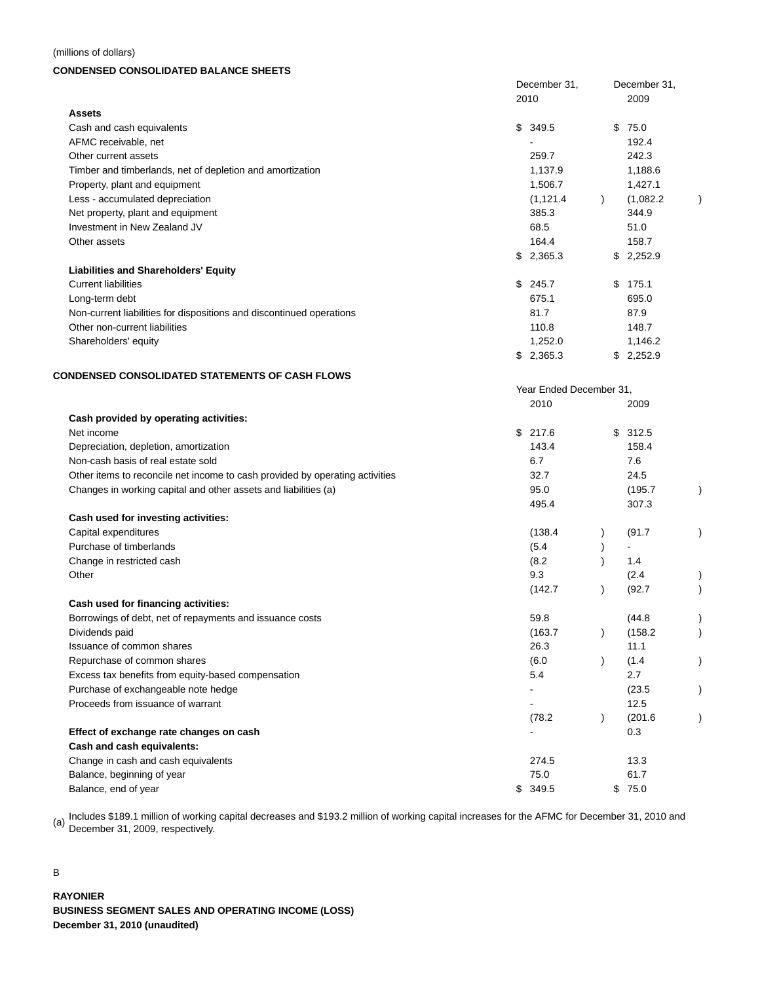## (millions of dollars)

# **CONDENSED CONSOLIDATED BALANCE SHEETS**

|                                                                              | December 31,<br>2010    | December 31,<br>2009 |
|------------------------------------------------------------------------------|-------------------------|----------------------|
| <b>Assets</b>                                                                |                         |                      |
| Cash and cash equivalents                                                    | \$<br>349.5             | \$75.0               |
| AFMC receivable, net                                                         |                         | 192.4                |
| Other current assets                                                         | 259.7                   | 242.3                |
| Timber and timberlands, net of depletion and amortization                    | 1,137.9                 | 1,188.6              |
| Property, plant and equipment                                                | 1,506.7                 | 1,427.1              |
| Less - accumulated depreciation                                              | (1, 121.4)              | (1,082.2)            |
| Net property, plant and equipment                                            | 385.3                   | 344.9                |
| Investment in New Zealand JV                                                 | 68.5                    | 51.0                 |
| Other assets                                                                 | 164.4                   | 158.7                |
|                                                                              | \$2,365.3               | \$2,252.9            |
| <b>Liabilities and Shareholders' Equity</b>                                  |                         |                      |
| <b>Current liabilities</b>                                                   | \$245.7                 | \$175.1              |
| Long-term debt                                                               | 675.1                   | 695.0                |
| Non-current liabilities for dispositions and discontinued operations         | 81.7                    | 87.9                 |
| Other non-current liabilities                                                | 110.8                   | 148.7                |
| Shareholders' equity                                                         | 1,252.0                 | 1,146.2              |
|                                                                              | \$2,365.3               | \$2,252.9            |
| <b>CONDENSED CONSOLIDATED STATEMENTS OF CASH FLOWS</b>                       |                         |                      |
|                                                                              | Year Ended December 31, |                      |
|                                                                              | 2010                    | 2009                 |
| Cash provided by operating activities:                                       |                         |                      |
| Net income                                                                   | \$ 217.6                | \$312.5              |
|                                                                              |                         |                      |
| Depreciation, depletion, amortization                                        | 143.4                   | 158.4                |
| Non-cash basis of real estate sold                                           | 6.7                     | 7.6                  |
| Other items to reconcile net income to cash provided by operating activities | 32.7                    | 24.5                 |
| Changes in working capital and other assets and liabilities (a)              | 95.0                    | (195.7)              |
|                                                                              | 495.4                   | 307.3                |
| Cash used for investing activities:                                          |                         |                      |
| Capital expenditures                                                         | (138.4)                 | (91.7)               |
| Purchase of timberlands                                                      | (5.4)                   | $\blacksquare$       |
| Change in restricted cash                                                    | (8.2)                   | 1.4                  |
| Other                                                                        | 9.3                     | (2.4)                |
|                                                                              | (142.7)                 | (92.7)               |
| Cash used for financing activities:                                          |                         |                      |
| Borrowings of debt, net of repayments and issuance costs                     | 59.8                    | (44.8)               |
| Dividends paid                                                               | (163.7)                 | (158.2)              |
| Issuance of common shares                                                    | 26.3                    | 11.1                 |
| Repurchase of common shares                                                  | (6.0)                   | (1.4)                |
| Excess tax benefits from equity-based compensation                           | 5.4                     | 2.7                  |
| Purchase of exchangeable note hedge                                          |                         | (23.5)               |
| Proceeds from issuance of warrant                                            |                         | 12.5                 |
|                                                                              | (78.2)                  | (201.6)<br>$\lambda$ |
| Effect of exchange rate changes on cash                                      |                         | 0.3                  |
| Cash and cash equivalents:                                                   |                         |                      |
| Change in cash and cash equivalents                                          | 274.5                   | 13.3                 |
| Balance, beginning of year                                                   | 75.0                    | 61.7                 |
| Balance, end of year                                                         | \$349.5                 | \$75.0               |
|                                                                              |                         |                      |

Includes \$189.1 million of working capital decreases and \$193.2 million of working capital increases for the AFMC for December 31, 2010 and<br>(a) December 31, 2009, respectively December 31, 2009, respectively.

B

**RAYONIER BUSINESS SEGMENT SALES AND OPERATING INCOME (LOSS) December 31, 2010 (unaudited)**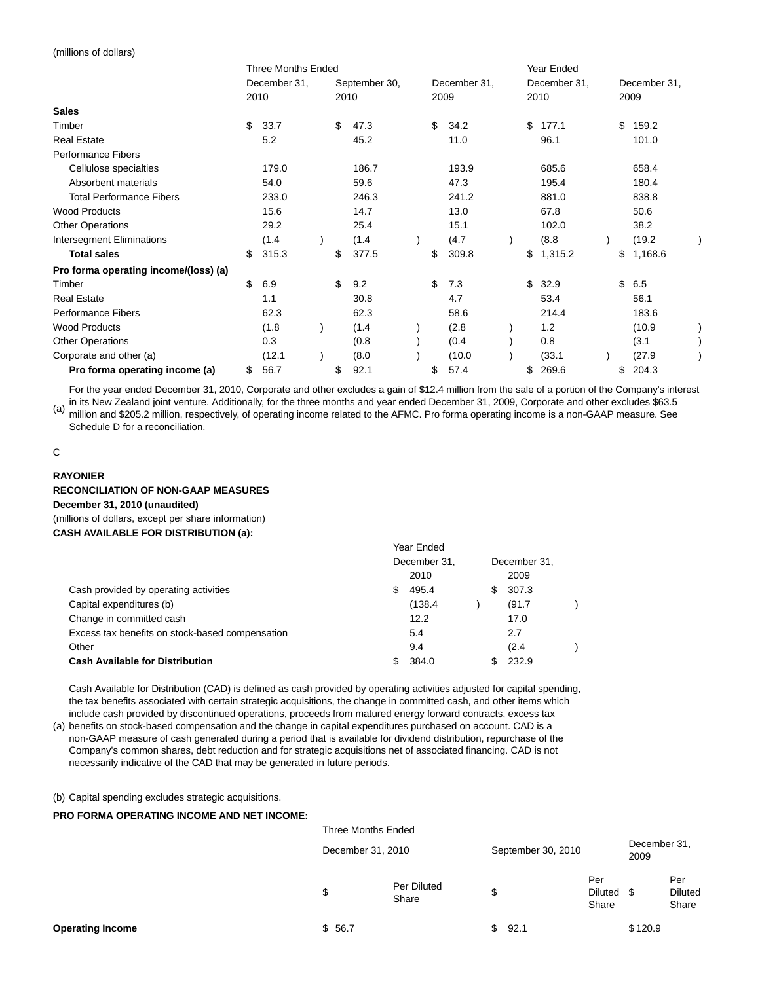#### (millions of dollars)

|                                       | Three Months Ended |        |  |               |       |  |              |        |  |              | Year Ended |  |              |         |  |  |
|---------------------------------------|--------------------|--------|--|---------------|-------|--|--------------|--------|--|--------------|------------|--|--------------|---------|--|--|
|                                       | December 31,       |        |  | September 30, |       |  | December 31, |        |  | December 31, |            |  | December 31, |         |  |  |
|                                       | 2010               |        |  |               | 2010  |  | 2009         |        |  | 2010         |            |  |              | 2009    |  |  |
| <b>Sales</b>                          |                    |        |  |               |       |  |              |        |  |              |            |  |              |         |  |  |
| Timber                                | \$                 | 33.7   |  | \$            | 47.3  |  | \$           | 34.2   |  | \$           | 177.1      |  | \$           | 159.2   |  |  |
| <b>Real Estate</b>                    |                    | 5.2    |  |               | 45.2  |  |              | 11.0   |  |              | 96.1       |  |              | 101.0   |  |  |
| <b>Performance Fibers</b>             |                    |        |  |               |       |  |              |        |  |              |            |  |              |         |  |  |
| Cellulose specialties                 |                    | 179.0  |  |               | 186.7 |  |              | 193.9  |  |              | 685.6      |  |              | 658.4   |  |  |
| Absorbent materials                   |                    | 54.0   |  |               | 59.6  |  |              | 47.3   |  |              | 195.4      |  |              | 180.4   |  |  |
| <b>Total Performance Fibers</b>       |                    | 233.0  |  |               | 246.3 |  |              | 241.2  |  |              | 881.0      |  |              | 838.8   |  |  |
| <b>Wood Products</b>                  |                    | 15.6   |  |               | 14.7  |  |              | 13.0   |  |              | 67.8       |  |              | 50.6    |  |  |
| <b>Other Operations</b>               |                    | 29.2   |  |               | 25.4  |  |              | 15.1   |  |              | 102.0      |  |              | 38.2    |  |  |
| Intersegment Eliminations             |                    | (1.4)  |  |               | (1.4) |  |              | (4.7)  |  |              | (8.8)      |  |              | (19.2)  |  |  |
| <b>Total sales</b>                    | \$                 | 315.3  |  | \$            | 377.5 |  | \$           | 309.8  |  | \$           | 1,315.2    |  | \$           | 1,168.6 |  |  |
| Pro forma operating income/(loss) (a) |                    |        |  |               |       |  |              |        |  |              |            |  |              |         |  |  |
| Timber                                | \$                 | 6.9    |  | \$            | 9.2   |  | \$           | 7.3    |  | S            | 32.9       |  | \$           | 6.5     |  |  |
| <b>Real Estate</b>                    |                    | 1.1    |  |               | 30.8  |  |              | 4.7    |  |              | 53.4       |  |              | 56.1    |  |  |
| <b>Performance Fibers</b>             |                    | 62.3   |  |               | 62.3  |  |              | 58.6   |  |              | 214.4      |  |              | 183.6   |  |  |
| <b>Wood Products</b>                  |                    | (1.8)  |  |               | (1.4) |  |              | (2.8)  |  |              | 1.2        |  |              | (10.9)  |  |  |
| <b>Other Operations</b>               |                    | 0.3    |  |               | (0.8) |  |              | (0.4)  |  |              | 0.8        |  |              | (3.1)   |  |  |
| Corporate and other (a)               |                    | (12.1) |  |               | (8.0) |  |              | (10.0) |  |              | (33.1)     |  |              | (27.9)  |  |  |
| Pro forma operating income (a)        | \$                 | 56.7   |  | \$            | 92.1  |  | \$           | 57.4   |  | \$           | 269.6      |  | \$           | 204.3   |  |  |

For the year ended December 31, 2010, Corporate and other excludes a gain of \$12.4 million from the sale of a portion of the Company's interest in its New Zealand joint venture. Additionally, for the three months and year ended December 31, 2009, Corporate and other excludes \$63.5

(a) million and \$205.2 million, respectively, of operating income related to the AFMC. Pro forma operating income is a non-GAAP measure. See Schedule D for a reconciliation.

#### C

#### **RAYONIER**

## **RECONCILIATION OF NON-GAAP MEASURES December 31, 2010 (unaudited)**

(millions of dollars, except per share information) **CASH AVAILABLE FOR DISTRIBUTION (a):**

|                                                 |              | Year Ended |  |   |              |  |
|-------------------------------------------------|--------------|------------|--|---|--------------|--|
|                                                 | December 31. |            |  |   | December 31, |  |
|                                                 |              | 2010       |  |   | 2009         |  |
| Cash provided by operating activities           | \$.          | 495.4      |  | S | 307.3        |  |
| Capital expenditures (b)                        |              | (138.4)    |  |   | (91.7)       |  |
| Change in committed cash                        |              | 12.2       |  |   | 17.0         |  |
| Excess tax benefits on stock-based compensation |              | 5.4        |  |   | 2.7          |  |
| Other                                           |              | 9.4        |  |   | (2.4)        |  |
| <b>Cash Available for Distribution</b>          |              | 384.0      |  |   | 232.9        |  |

Cash Available for Distribution (CAD) is defined as cash provided by operating activities adjusted for capital spending, the tax benefits associated with certain strategic acquisitions, the change in committed cash, and other items which include cash provided by discontinued operations, proceeds from matured energy forward contracts, excess tax

(a) benefits on stock-based compensation and the change in capital expenditures purchased on account. CAD is a non-GAAP measure of cash generated during a period that is available for dividend distribution, repurchase of the Company's common shares, debt reduction and for strategic acquisitions net of associated financing. CAD is not necessarily indicative of the CAD that may be generated in future periods.

#### (b) Capital spending excludes strategic acquisitions.

#### **PRO FORMA OPERATING INCOME AND NET INCOME:**

|                         |                   | Three Months Ended   |                    |                            |         |                         |  |  |  |
|-------------------------|-------------------|----------------------|--------------------|----------------------------|---------|-------------------------|--|--|--|
|                         | December 31, 2010 |                      | September 30, 2010 |                            | 2009    | December 31,            |  |  |  |
|                         | \$                | Per Diluted<br>Share | \$                 | Per<br>Diluted \$<br>Share |         | Per<br>Diluted<br>Share |  |  |  |
| <b>Operating Income</b> | \$56.7            |                      | 92.1<br>\$         |                            | \$120.9 |                         |  |  |  |